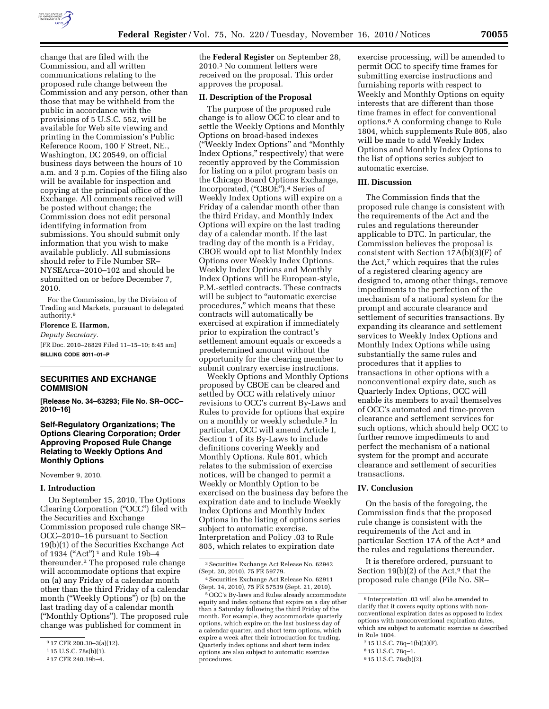

change that are filed with the Commission, and all written communications relating to the proposed rule change between the Commission and any person, other than those that may be withheld from the public in accordance with the provisions of 5 U.S.C. 552, will be available for Web site viewing and printing in the Commission's Public Reference Room, 100 F Street, NE., Washington, DC 20549, on official business days between the hours of 10 a.m. and 3 p.m. Copies of the filing also will be available for inspection and copying at the principal office of the Exchange. All comments received will be posted without change; the Commission does not edit personal identifying information from submissions. You should submit only information that you wish to make available publicly. All submissions should refer to File Number SR– NYSEArca–2010–102 and should be submitted on or before December 7, 2010.

For the Commission, by the Division of Trading and Markets, pursuant to delegated authority.9

# **Florence E. Harmon,**

*Deputy Secretary.* 

[FR Doc. 2010–28829 Filed 11–15–10; 8:45 am] **BILLING CODE 8011–01–P** 

### **SECURITIES AND EXCHANGE COMMISION**

**[Release No. 34–63293; File No. SR–OCC– 2010–16]** 

**Self-Regulatory Organizations; The Options Clearing Corporation; Order Approving Proposed Rule Change Relating to Weekly Options And Monthly Options** 

November 9, 2010.

#### **I. Introduction**

On September 15, 2010, The Options Clearing Corporation (''OCC'') filed with the Securities and Exchange Commission proposed rule change SR– OCC–2010–16 pursuant to Section 19(b)(1) of the Securities Exchange Act of 1934 (''Act'') 1 and Rule 19b–4 thereunder.2 The proposed rule change will accommodate options that expire on (a) any Friday of a calendar month other than the third Friday of a calendar month ("Weekly Options") or (b) on the last trading day of a calendar month (''Monthly Options''). The proposed rule change was published for comment in

the **Federal Register** on September 28, 2010.3 No comment letters were received on the proposal. This order approves the proposal.

#### **II. Description of the Proposal**

The purpose of the proposed rule change is to allow OCC to clear and to settle the Weekly Options and Monthly Options on broad-based indexes (''Weekly Index Options'' and ''Monthly Index Options,'' respectively) that were recently approved by the Commission for listing on a pilot program basis on the Chicago Board Options Exchange, Incorporated, (''CBOE'').4 Series of Weekly Index Options will expire on a Friday of a calendar month other than the third Friday, and Monthly Index Options will expire on the last trading day of a calendar month. If the last trading day of the month is a Friday, CBOE would opt to list Monthly Index Options over Weekly Index Options. Weekly Index Options and Monthly Index Options will be European-style, P.M.-settled contracts. These contracts will be subject to "automatic exercise procedures,'' which means that these contracts will automatically be exercised at expiration if immediately prior to expiration the contract's settlement amount equals or exceeds a predetermined amount without the opportunity for the clearing member to submit contrary exercise instructions.

Weekly Options and Monthly Options proposed by CBOE can be cleared and settled by OCC with relatively minor revisions to OCC's current By-Laws and Rules to provide for options that expire on a monthly or weekly schedule.5 In particular, OCC will amend Article I, Section 1 of its By-Laws to include definitions covering Weekly and Monthly Options. Rule 801, which relates to the submission of exercise notices, will be changed to permit a Weekly or Monthly Option to be exercised on the business day before the expiration date and to include Weekly Index Options and Monthly Index Options in the listing of options series subject to automatic exercise. Interpretation and Policy .03 to Rule 805, which relates to expiration date

exercise processing, will be amended to permit OCC to specify time frames for submitting exercise instructions and furnishing reports with respect to Weekly and Monthly Options on equity interests that are different than those time frames in effect for conventional options.6 A conforming change to Rule 1804, which supplements Rule 805, also will be made to add Weekly Index Options and Monthly Index Options to the list of options series subject to automatic exercise.

#### **III. Discussion**

The Commission finds that the proposed rule change is consistent with the requirements of the Act and the rules and regulations thereunder applicable to DTC. In particular, the Commission believes the proposal is consistent with Section 17A(b)(3)(F) of the Act,7 which requires that the rules of a registered clearing agency are designed to, among other things, remove impediments to the perfection of the mechanism of a national system for the prompt and accurate clearance and settlement of securities transactions. By expanding its clearance and settlement services to Weekly Index Options and Monthly Index Options while using substantially the same rules and procedures that it applies to transactions in other options with a nonconventional expiry date, such as Quarterly Index Options, OCC will enable its members to avail themselves of OCC's automated and time-proven clearance and settlement services for such options, which should help OCC to further remove impediments to and perfect the mechanism of a national system for the prompt and accurate clearance and settlement of securities transactions.

#### **IV. Conclusion**

On the basis of the foregoing, the Commission finds that the proposed rule change is consistent with the requirements of the Act and in particular Section 17A of the Act 8 and the rules and regulations thereunder.

It is therefore ordered, pursuant to Section 19(b)(2) of the Act,<sup>9</sup> that the proposed rule change (File No. SR–

- 7 15 U.S.C. 78q–1(b)(3)(F).
- 8 15 U.S.C. 78q–1.

<sup>9</sup> 17 CFR 200.30–3(a)(12).

<sup>1</sup> 15 U.S.C. 78s(b)(1).

<sup>2</sup> 17 CFR 240.19b–4.

<sup>3</sup>Securities Exchange Act Release No. 62942 (Sept. 20, 2010), 75 FR 59779.

<sup>4</sup>Securities Exchange Act Release No. 62911 (Sept. 14, 2010), 75 FR 57539 (Sept. 21, 2010).

<sup>5</sup>OCC's By-laws and Rules already accommodate equity and index options that expire on a day other than a Saturday following the third Friday of the month. For example, they accommodate quarterly options, which expire on the last business day of a calendar quarter, and short term options, which expire a week after their introduction for trading. Quarterly index options and short term index options are also subject to automatic exercise procedures.

 $^{\rm 6}$  Interpretation .03 will also be amended to clarify that it covers equity options with nonconventional expiration dates as opposed to index options with nonconventional expiration dates, which are subject to automatic exercise as described in Rule 1804.

<sup>9</sup> 15 U.S.C. 78s(b)(2).